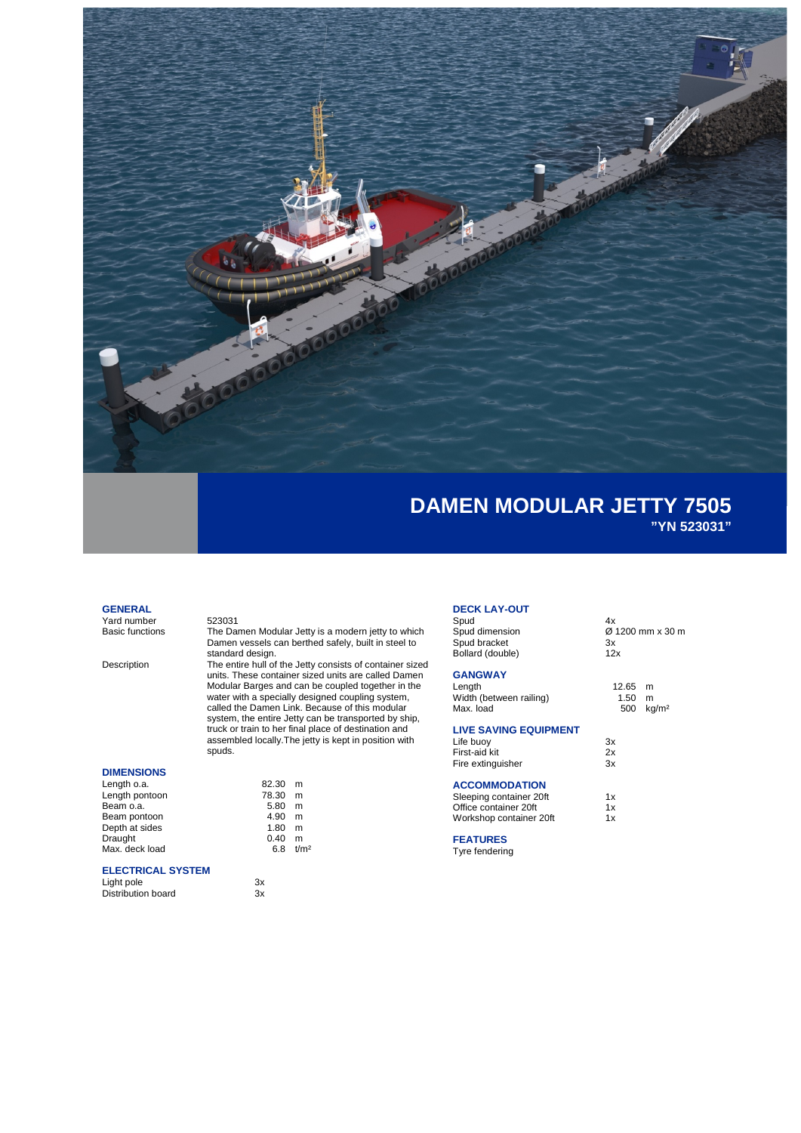

### **GENERAL**

Yard number 523031<br>Basic functions The Dar

### **DIMENSIONS**

| Length o.a.    | 82.30 | m                |
|----------------|-------|------------------|
| Length pontoon | 78.30 | m                |
| Beam o.a.      | 5.80  | m                |
| Beam pontoon   | 4.90  | m                |
| Depth at sides | 1.80  | m                |
| Draught        | 0.40  | m                |
| Max. deck load | 68    | t/m <sup>2</sup> |
|                |       |                  |

## **ELECTRICAL SYSTEM**

Distribution board

#### Basic functions The Damen Modular Jetty is a modern jetty to which Damen vessels can berthed safely, built in steel to standard design.

Description The entire hull of the Jetty consists of container sized units. These container sized units are called Damen Modular Barges and can be coupled together in the water with a specially designed coupling system, called the Damen Link. Because of this modular system, the entire Jetty can be transported by ship, truck or train to her final place of destination and assembled locally.The jetty is kept in position with spuds.

| 82.30 | m                    |
|-------|----------------------|
| 78.30 | m                    |
| 5.80  | m                    |
| 4.90  | m                    |
| 1.80  | m                    |
| 0.40  | m                    |
|       | 6.8 t/m <sup>2</sup> |

Light pole 3x<br>Distribution board 3x<br>3x

# **DECK LAY-OUT**

Spud 4x Spud bracket 3x Bollard (double) 12x

### **GANGWAY**

| Length                  |  |
|-------------------------|--|
| Width (between railing) |  |
| Max. load               |  |

### **LIVE SAVING EQUIPMENT**

| Life buoy<br>First-aid kit<br>Fire extinguisher | 3x |  |
|-------------------------------------------------|----|--|
|                                                 | 2x |  |
|                                                 | 3x |  |

### **ACCOMMODATION**

| Sleeping container 20ft<br>Office container 20ft | 1x<br>1x |
|--------------------------------------------------|----------|
|                                                  |          |

### **FEATURES**

Tyre fendering

 $\overline{\varnothing}$  1200 mm x 30 m<br>3x

 $12.65$  m  $1.50$  m  $500$  kg/m<sup>2</sup>